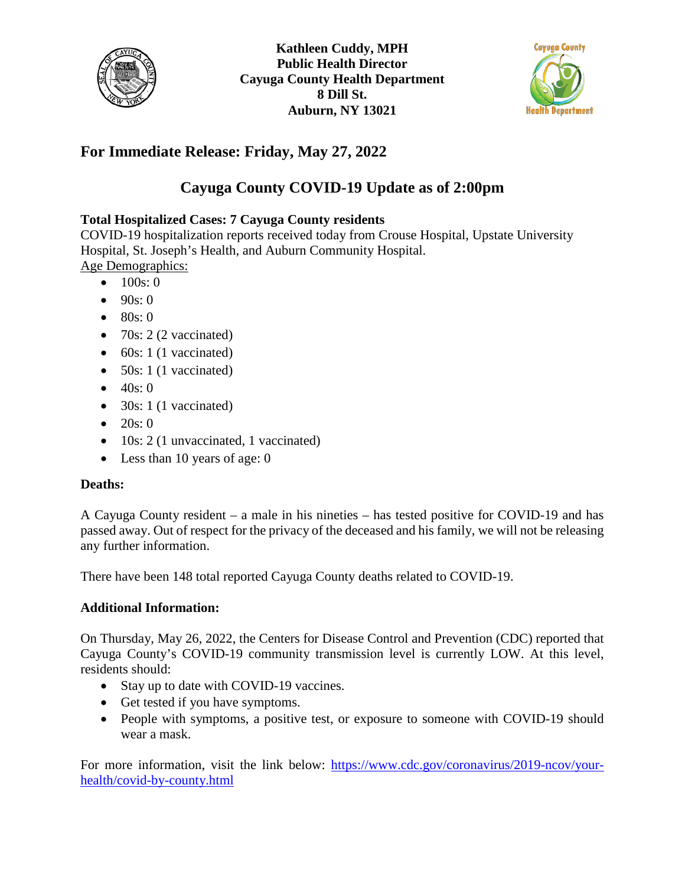



## **For Immediate Release: Friday, May 27, 2022**

# **Cayuga County COVID-19 Update as of 2:00pm**

## **Total Hospitalized Cases: 7 Cayuga County residents**

COVID-19 hospitalization reports received today from Crouse Hospital, Upstate University Hospital, St. Joseph's Health, and Auburn Community Hospital. Age Demographics:

- $100s:0$
- $90s:0$
- $80s:0$
- 70s: 2 (2 vaccinated)
- $\bullet$  60s: 1 (1 vaccinated)
- $50s: 1$  (1 vaccinated)
- $40s:0$
- 30s: 1 (1 vaccinated)
- 20s: 0
- 10s: 2 (1 unvaccinated, 1 vaccinated)
- Less than 10 years of age: 0

### **Deaths:**

A Cayuga County resident – a male in his nineties – has tested positive for COVID-19 and has passed away. Out of respect for the privacy of the deceased and his family, we will not be releasing any further information.

There have been 148 total reported Cayuga County deaths related to COVID-19.

### **Additional Information:**

On Thursday, May 26, 2022, the Centers for Disease Control and Prevention (CDC) reported that Cayuga County's COVID-19 community transmission level is currently LOW. At this level, residents should:

- Stay up to date with COVID-19 vaccines.
- Get tested if you have symptoms.
- People with symptoms, a positive test, or exposure to someone with COVID-19 should wear a mask.

For more information, visit the link below: [https://www.cdc.gov/coronavirus/2019-ncov/your](https://www.cdc.gov/coronavirus/2019-ncov/your-health/covid-by-county.html)[health/covid-by-county.html](https://www.cdc.gov/coronavirus/2019-ncov/your-health/covid-by-county.html)